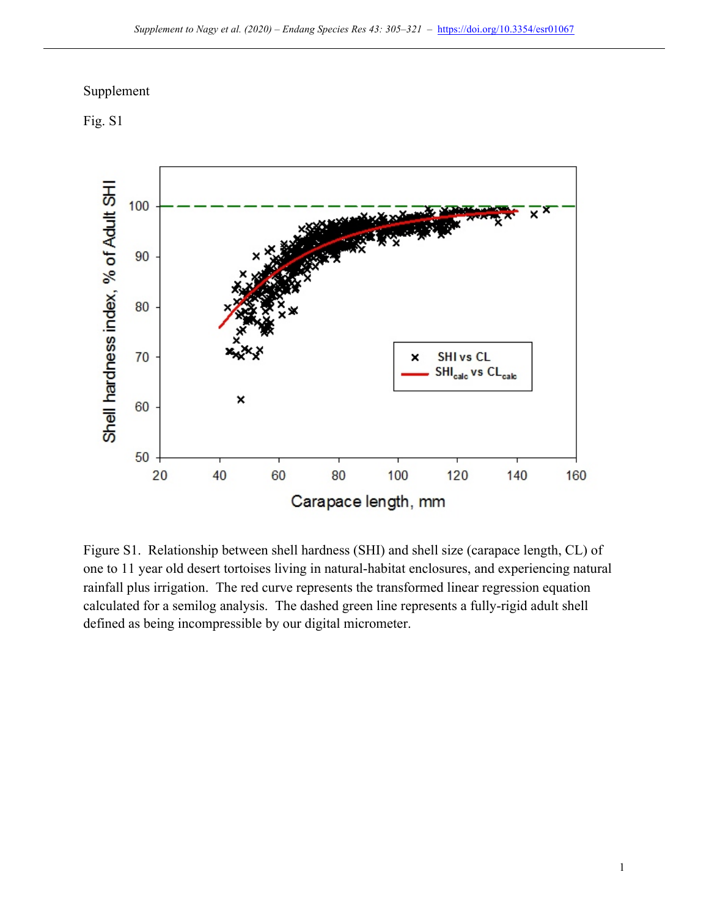## Supplement





Figure S1. Relationship between shell hardness (SHI) and shell size (carapace length, CL) of one to 11 year old desert tortoises living in natural-habitat enclosures, and experiencing natural rainfall plus irrigation. The red curve represents the transformed linear regression equation calculated for a semilog analysis. The dashed green line represents a fully-rigid adult shell defined as being incompressible by our digital micrometer.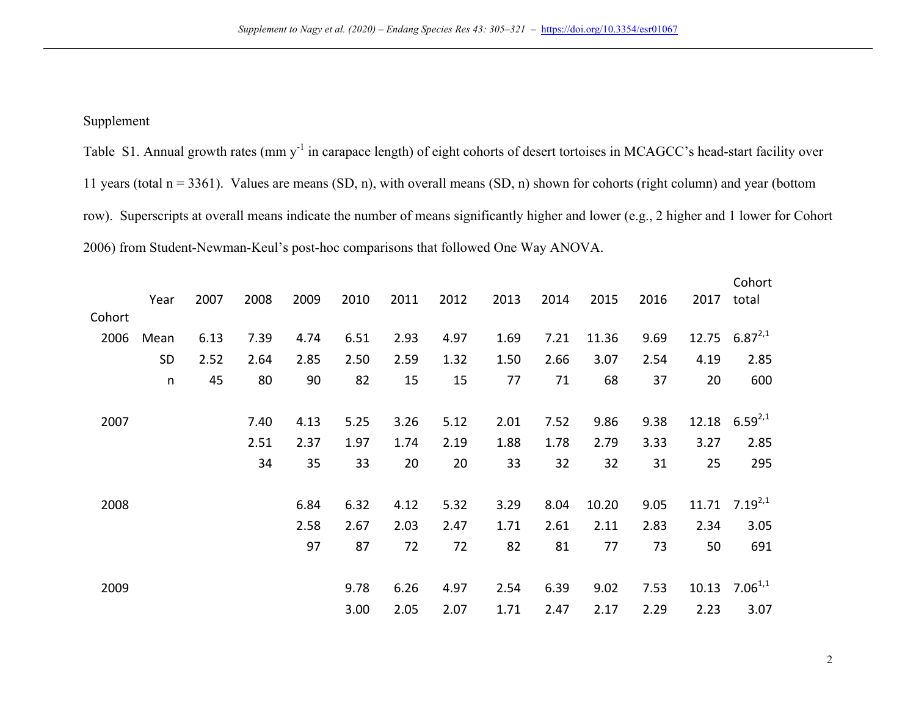## Supplement

Table S1. Annual growth rates (mm y<sup>-1</sup> in carapace length) of eight cohorts of desert tortoises in MCAGCC's head-start facility over 11 years (total  $n = 3361$ ). Values are means (SD, n), with overall means (SD, n) shown for cohorts (right column) and year (bottom row). Superscripts at overall means indicate the number of means significantly higher and lower (e.g., 2 higher and 1 lower for Cohort 2006) from Student-Newman-Keul's post-hoc comparisons that followed One Way ANOVA.

|        | Year      | 2007 | 2008 | 2009 | 2010 | 2011 | 2012 | 2013 | 2014 | 2015  | 2016 | 2017  | Cohort<br>total |
|--------|-----------|------|------|------|------|------|------|------|------|-------|------|-------|-----------------|
| Cohort |           |      |      |      |      |      |      |      |      |       |      |       |                 |
| 2006   | Mean      | 6.13 | 7.39 | 4.74 | 6.51 | 2.93 | 4.97 | 1.69 | 7.21 | 11.36 | 9.69 | 12.75 | $6.87^{2,1}$    |
|        | <b>SD</b> | 2.52 | 2.64 | 2.85 | 2.50 | 2.59 | 1.32 | 1.50 | 2.66 | 3.07  | 2.54 | 4.19  | 2.85            |
|        | $\sf n$   | 45   | 80   | 90   | 82   | 15   | 15   | 77   | 71   | 68    | 37   | 20    | 600             |
|        |           |      |      |      |      |      |      |      |      |       |      |       |                 |
| 2007   |           |      | 7.40 | 4.13 | 5.25 | 3.26 | 5.12 | 2.01 | 7.52 | 9.86  | 9.38 | 12.18 | $6.59^{2,1}$    |
|        |           |      | 2.51 | 2.37 | 1.97 | 1.74 | 2.19 | 1.88 | 1.78 | 2.79  | 3.33 | 3.27  | 2.85            |
|        |           |      | 34   | 35   | 33   | 20   | 20   | 33   | 32   | 32    | 31   | 25    | 295             |
|        |           |      |      |      |      |      |      |      |      |       |      |       |                 |
| 2008   |           |      |      | 6.84 | 6.32 | 4.12 | 5.32 | 3.29 | 8.04 | 10.20 | 9.05 | 11.71 | $7.19^{2,1}$    |
|        |           |      |      | 2.58 | 2.67 | 2.03 | 2.47 | 1.71 | 2.61 | 2.11  | 2.83 | 2.34  | 3.05            |
|        |           |      |      | 97   | 87   | 72   | 72   | 82   | 81   | 77    | 73   | 50    | 691             |
|        |           |      |      |      |      |      |      |      |      |       |      |       |                 |
| 2009   |           |      |      |      | 9.78 | 6.26 | 4.97 | 2.54 | 6.39 | 9.02  | 7.53 | 10.13 | $7.06^{1,1}$    |
|        |           |      |      |      | 3.00 | 2.05 | 2.07 | 1.71 | 2.47 | 2.17  | 2.29 | 2.23  | 3.07            |